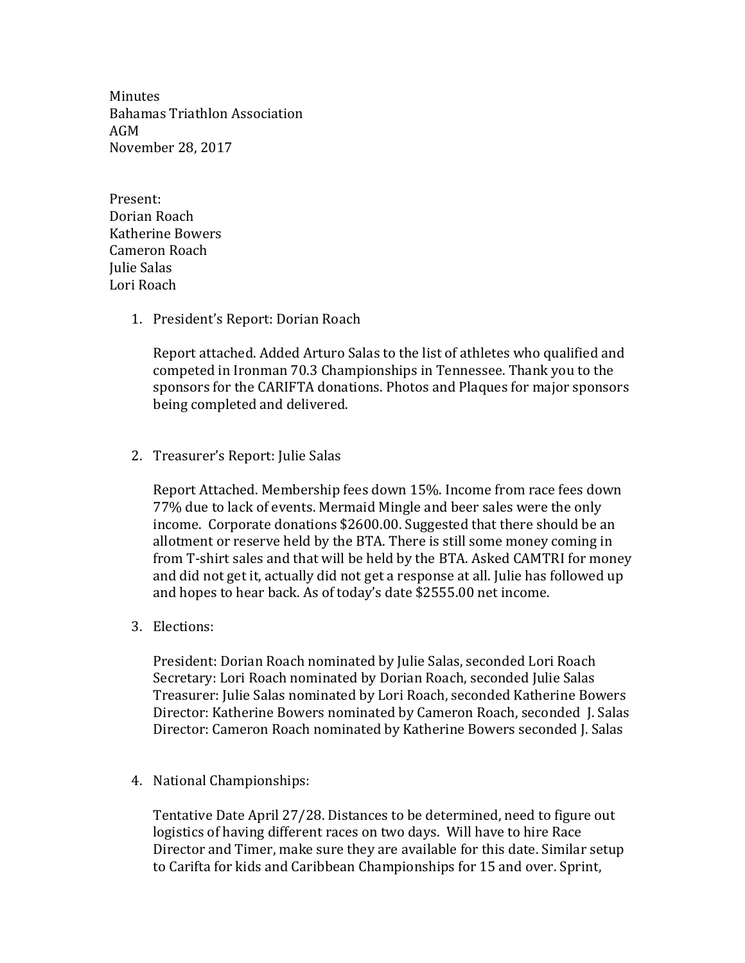**Minutes** Bahamas Triathlon Association AGM November 28, 2017

Present: Dorian Roach Katherine Bowers Cameron Roach Julie Salas Lori Roach

1. President's Report: Dorian Roach

Report attached. Added Arturo Salas to the list of athletes who qualified and competed in Ironman 70.3 Championships in Tennessee. Thank you to the sponsors for the CARIFTA donations. Photos and Plaques for major sponsors being completed and delivered.

2. Treasurer's Report: Julie Salas

Report Attached. Membership fees down 15%. Income from race fees down 77% due to lack of events. Mermaid Mingle and beer sales were the only income. Corporate donations \$2600.00. Suggested that there should be an allotment or reserve held by the BTA. There is still some money coming in from T-shirt sales and that will be held by the BTA. Asked CAMTRI for money and did not get it, actually did not get a response at all. Julie has followed up and hopes to hear back. As of today's date \$2555.00 net income.

3. Elections:

President: Dorian Roach nominated by Julie Salas, seconded Lori Roach Secretary: Lori Roach nominated by Dorian Roach, seconded Julie Salas Treasurer: Julie Salas nominated by Lori Roach, seconded Katherine Bowers Director: Katherine Bowers nominated by Cameron Roach, seconded J. Salas Director: Cameron Roach nominated by Katherine Bowers seconded J. Salas

4. National Championships:

Tentative Date April 27/28. Distances to be determined, need to figure out logistics of having different races on two days. Will have to hire Race Director and Timer, make sure they are available for this date. Similar setup to Carifta for kids and Caribbean Championships for 15 and over. Sprint,